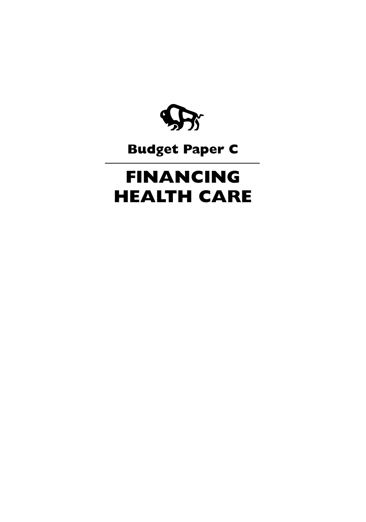

## **Budget Paper C**

# **FINANCING HEALTH CARE**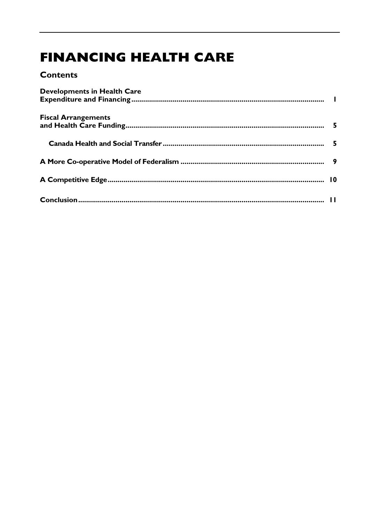## **FINANCING HEALTH CARE**

### **Contents**

| <b>Developments in Health Care</b> |  |
|------------------------------------|--|
| <b>Fiscal Arrangements</b>         |  |
|                                    |  |
|                                    |  |
|                                    |  |
|                                    |  |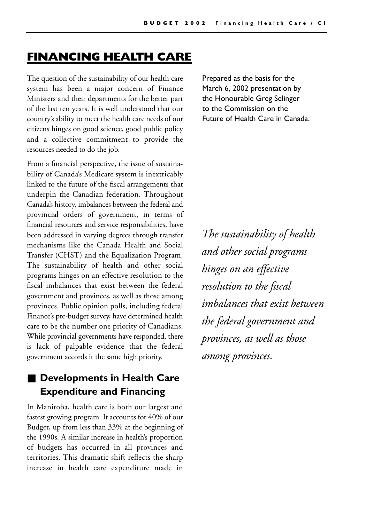## **FINANCING HEALTH CARE**

The question of the sustainability of our health care system has been a major concern of Finance Ministers and their departments for the better part of the last ten years. It is well understood that our country's ability to meet the health care needs of our citizens hinges on good science, good public policy and a collective commitment to provide the resources needed to do the job.

From a financial perspective, the issue of sustainability of Canada's Medicare system is inextricably linked to the future of the fiscal arrangements that underpin the Canadian federation. Throughout Canada's history, imbalances between the federal and provincial orders of government, in terms of financial resources and service responsibilities, have been addressed in varying degrees through transfer mechanisms like the Canada Health and Social Transfer (CHST) and the Equalization Program. The sustainability of health and other social programs hinges on an effective resolution to the fiscal imbalances that exist between the federal government and provinces, as well as those among provinces. Public opinion polls, including federal Finance's pre-budget survey, have determined health care to be the number one priority of Canadians. While provincial governments have responded, there is lack of palpable evidence that the federal government accords it the same high priority.

## ■ **Developments in Health Care Expenditure and Financing**

In Manitoba, health care is both our largest and fastest growing program. It accounts for 40% of our Budget, up from less than 33% at the beginning of the 1990s. A similar increase in health's proportion of budgets has occurred in all provinces and territories. This dramatic shift reflects the sharp increase in health care expenditure made in

Prepared as the basis for the March 6, 2002 presentation by the Honourable Greg Selinger to the Commission on the Future of Health Care in Canada.

*The sustainability of health and other social programs hinges on an effective resolution to the fiscal imbalances that exist between the federal government and provinces, as well as those among provinces.*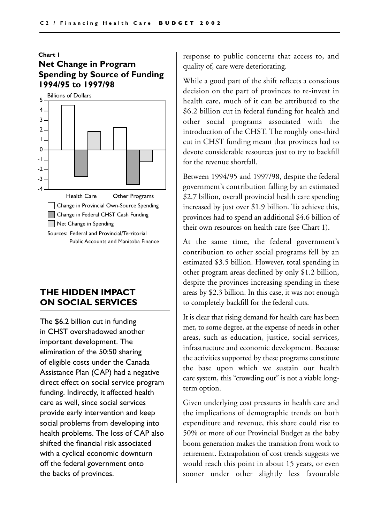#### **Chart 1**

#### **Net Change in Program Spending by Source of Funding 1994/95 to 1997/98**



#### **THE HIDDEN IMPACT ON SOCIAL SERVICES**

The \$6.2 billion cut in funding in CHST overshadowed another important development. The elimination of the 50:50 sharing of eligible costs under the Canada Assistance Plan (CAP) had a negative direct effect on social service program funding. Indirectly, it affected health care as well, since social services provide early intervention and keep social problems from developing into health problems. The loss of CAP also shifted the financial risk associated with a cyclical economic downturn off the federal government onto the backs of provinces.

response to public concerns that access to, and quality of, care were deteriorating.

While a good part of the shift reflects a conscious decision on the part of provinces to re-invest in health care, much of it can be attributed to the \$6.2 billion cut in federal funding for health and other social programs associated with the introduction of the CHST. The roughly one-third cut in CHST funding meant that provinces had to devote considerable resources just to try to backfill for the revenue shortfall.

Between 1994/95 and 1997/98, despite the federal government's contribution falling by an estimated \$2.7 billion, overall provincial health care spending increased by just over \$1.9 billion. To achieve this, provinces had to spend an additional \$4.6 billion of their own resources on health care (see Chart 1).

At the same time, the federal government's contribution to other social programs fell by an estimated \$3.5 billion. However, total spending in other program areas declined by only \$1.2 billion, despite the provinces increasing spending in these areas by \$2.3 billion. In this case, it was not enough to completely backfill for the federal cuts.

It is clear that rising demand for health care has been met, to some degree, at the expense of needs in other areas, such as education, justice, social services, infrastructure and economic development. Because the activities supported by these programs constitute the base upon which we sustain our health care system, this "crowding out" is not a viable longterm option.

Given underlying cost pressures in health care and the implications of demographic trends on both expenditure and revenue, this share could rise to 50% or more of our Provincial Budget as the baby boom generation makes the transition from work to retirement. Extrapolation of cost trends suggests we would reach this point in about 15 years, or even sooner under other slightly less favourable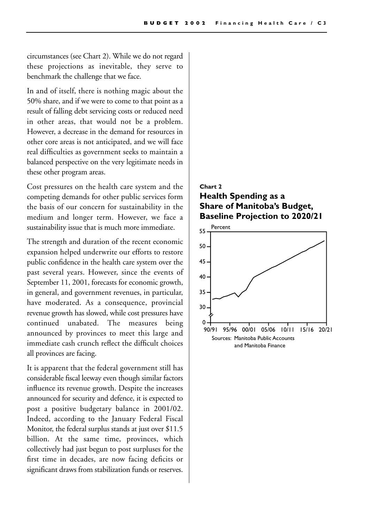circumstances (see Chart 2). While we do not regard these projections as inevitable, they serve to benchmark the challenge that we face.

In and of itself, there is nothing magic about the 50% share, and if we were to come to that point as a result of falling debt servicing costs or reduced need in other areas, that would not be a problem. However, a decrease in the demand for resources in other core areas is not anticipated, and we will face real difficulties as government seeks to maintain a balanced perspective on the very legitimate needs in these other program areas.

Cost pressures on the health care system and the competing demands for other public services form the basis of our concern for sustainability in the medium and longer term. However, we face a sustainability issue that is much more immediate.

The strength and duration of the recent economic expansion helped underwrite our efforts to restore public confidence in the health care system over the past several years. However, since the events of September 11, 2001, forecasts for economic growth, in general, and government revenues, in particular, have moderated. As a consequence, provincial revenue growth has slowed, while cost pressures have continued unabated. The measures being announced by provinces to meet this large and immediate cash crunch reflect the difficult choices all provinces are facing.

It is apparent that the federal government still has considerable fiscal leeway even though similar factors influence its revenue growth. Despite the increases announced for security and defence, it is expected to post a positive budgetary balance in 2001/02. Indeed, according to the January Federal Fiscal Monitor, the federal surplus stands at just over \$11.5 billion. At the same time, provinces, which collectively had just begun to post surpluses for the first time in decades, are now facing deficits or significant draws from stabilization funds or reserves.

#### **Chart 2 Health Spending as a Share of Manitoba's Budget, Baseline Projection to 2020/21**

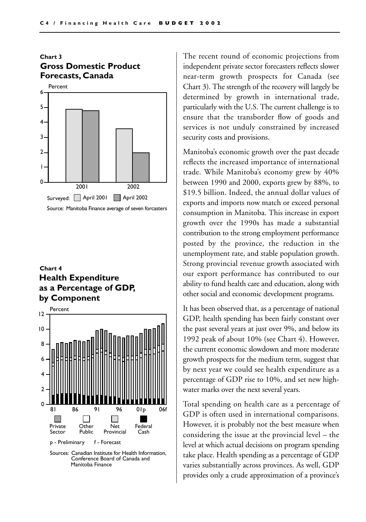#### **Chart 3 Gross Domestic Product Forecasts, Canada**



#### **Chart 4 Health Expenditure as a Percentage of GDP, by Component**



Sources: Canadian Institute for Health Information, Conference Board of Canada and Manitoba Finance

The recent round of economic projections from independent private sector forecasters reflects slower near-term growth prospects for Canada (see Chart 3). The strength of the recovery will largely be determined by growth in international trade, particularly with the U.S. The current challenge is to ensure that the transborder flow of goods and services is not unduly constrained by increased security costs and provisions.

Manitoba's economic growth over the past decade reflects the increased importance of international trade. While Manitoba's economy grew by 40% between 1990 and 2000, exports grew by 88%, to \$19.5 billion. Indeed, the annual dollar values of exports and imports now match or exceed personal consumption in Manitoba. This increase in export growth over the 1990s has made a substantial contribution to the strong employment performance posted by the province, the reduction in the unemployment rate, and stable population growth. Strong provincial revenue growth associated with our export performance has contributed to our ability to fund health care and education, along with other social and economic development programs.

It has been observed that, as a percentage of national GDP, health spending has been fairly constant over the past several years at just over 9%, and below its 1992 peak of about 10% (see Chart 4). However, the current economic slowdown and more moderate growth prospects for the medium term, suggest that by next year we could see health expenditure as a percentage of GDP rise to 10%, and set new highwater marks over the next several years.

Total spending on health care as a percentage of GDP is often used in international comparisons. However, it is probably not the best measure when considering the issue at the provincial level – the level at which actual decisions on program spending take place. Health spending as a percentage of GDP varies substantially across provinces. As well, GDP provides only a crude approximation of a province's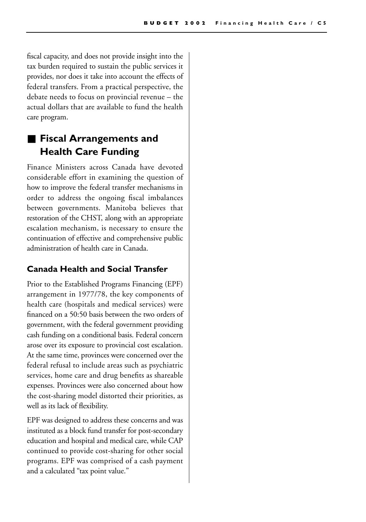fiscal capacity, and does not provide insight into the tax burden required to sustain the public services it provides, nor does it take into account the effects of federal transfers. From a practical perspective, the debate needs to focus on provincial revenue – the actual dollars that are available to fund the health care program.

## ■ **Fiscal Arrangements and Health Care Funding**

Finance Ministers across Canada have devoted considerable effort in examining the question of how to improve the federal transfer mechanisms in order to address the ongoing fiscal imbalances between governments. Manitoba believes that restoration of the CHST, along with an appropriate escalation mechanism, is necessary to ensure the continuation of effective and comprehensive public administration of health care in Canada.

#### **Canada Health and Social Transfer**

Prior to the Established Programs Financing (EPF) arrangement in 1977/78, the key components of health care (hospitals and medical services) were financed on a 50:50 basis between the two orders of government, with the federal government providing cash funding on a conditional basis. Federal concern arose over its exposure to provincial cost escalation. At the same time, provinces were concerned over the federal refusal to include areas such as psychiatric services, home care and drug benefits as shareable expenses. Provinces were also concerned about how the cost-sharing model distorted their priorities, as well as its lack of flexibility.

EPF was designed to address these concerns and was instituted as a block fund transfer for post-secondary education and hospital and medical care, while CAP continued to provide cost-sharing for other social programs. EPF was comprised of a cash payment and a calculated "tax point value."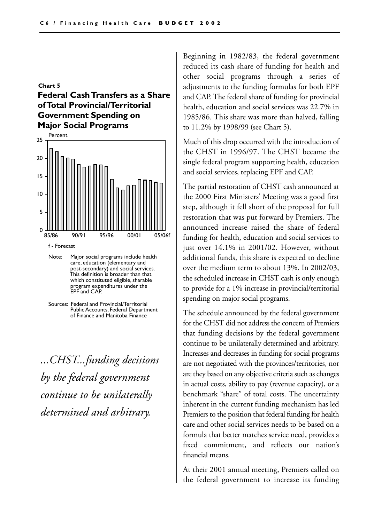#### **Chart 5 Federal Cash Transfers as a Share of Total Provincial/Territorial Government Spending on Major Social Programs**



- Note: Major social programs include health care, education (elementary and post-secondary) and social services. This definition is broader than that which constituted eligible, sharable program expenditures under the EPF and CAP.
- Sources: Federal and Provincial/Territorial Public Accounts, Federal Department of Finance and Manitoba Finance

*...CHST...funding decisions by the federal government continue to be unilaterally determined and arbitrary.*

Beginning in 1982/83, the federal government reduced its cash share of funding for health and other social programs through a series of adjustments to the funding formulas for both EPF and CAP. The federal share of funding for provincial health, education and social services was 22.7% in 1985/86. This share was more than halved, falling to 11.2% by 1998/99 (see Chart 5).

Much of this drop occurred with the introduction of the CHST in 1996/97. The CHST became the single federal program supporting health, education and social services, replacing EPF and CAP.

The partial restoration of CHST cash announced at the 2000 First Ministers' Meeting was a good first step, although it fell short of the proposal for full restoration that was put forward by Premiers. The announced increase raised the share of federal funding for health, education and social services to just over 14.1% in 2001/02. However, without additional funds, this share is expected to decline over the medium term to about 13%. In 2002/03, the scheduled increase in CHST cash is only enough to provide for a 1% increase in provincial/territorial spending on major social programs.

The schedule announced by the federal government for the CHST did not address the concern of Premiers that funding decisions by the federal government continue to be unilaterally determined and arbitrary. Increases and decreases in funding for social programs are not negotiated with the provinces/territories, nor are they based on any objective criteria such as changes in actual costs, ability to pay (revenue capacity), or a benchmark "share" of total costs. The uncertainty inherent in the current funding mechanism has led Premiers to the position that federal funding for health care and other social services needs to be based on a formula that better matches service need, provides a fixed commitment, and reflects our nation's financial means.

At their 2001 annual meeting, Premiers called on the federal government to increase its funding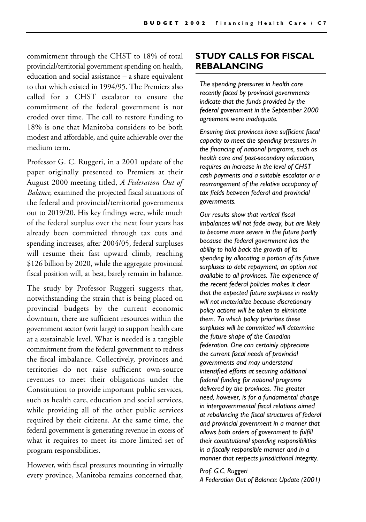commitment through the CHST to 18% of total provincial/territorial government spending on health, education and social assistance – a share equivalent to that which existed in 1994/95. The Premiers also called for a CHST escalator to ensure the commitment of the federal government is not eroded over time. The call to restore funding to 18% is one that Manitoba considers to be both modest and affordable, and quite achievable over the medium term.

Professor G. C. Ruggeri, in a 2001 update of the paper originally presented to Premiers at their August 2000 meeting titled, *A Federation Out of Balance*, examined the projected fiscal situations of the federal and provincial/territorial governments out to 2019/20. His key findings were, while much of the federal surplus over the next four years has already been committed through tax cuts and spending increases, after 2004/05, federal surpluses will resume their fast upward climb, reaching \$126 billion by 2020, while the aggregate provincial fiscal position will, at best, barely remain in balance.

The study by Professor Ruggeri suggests that, notwithstanding the strain that is being placed on provincial budgets by the current economic downturn, there are sufficient resources within the government sector (writ large) to support health care at a sustainable level. What is needed is a tangible commitment from the federal government to redress the fiscal imbalance. Collectively, provinces and territories do not raise sufficient own-source revenues to meet their obligations under the Constitution to provide important public services, such as health care, education and social services, while providing all of the other public services required by their citizens. At the same time, the federal government is generating revenue in excess of what it requires to meet its more limited set of program responsibilities.

However, with fiscal pressures mounting in virtually every province, Manitoba remains concerned that,

#### **STUDY CALLS FOR FISCAL REBALANCING**

*The spending pressures in health care recently faced by provincial governments indicate that the funds provided by the federal government in the September 2000 agreement were inadequate.* 

*Ensuring that provinces have sufficient fiscal capacity to meet the spending pressures in the financing of national programs, such as health care and post-secondary education, requires an increase in the level of CHST cash payments and a suitable escalator or a rearrangement of the relative occupancy of tax fields between federal and provincial governments.*

*Our results show that vertical fiscal imbalances will not fade away, but are likely to become more severe in the future partly because the federal government has the ability to hold back the growth of its spending by allocating a portion of its future surpluses to debt repayment, an option not available to all provinces. The experience of the recent federal policies makes it clear that the expected future surpluses in reality will not materialize because discretionary policy actions will be taken to eliminate them. To which policy priorities these surpluses will be committed will determine the future shape of the Canadian federation. One can certainly appreciate the current fiscal needs of provincial governments and may understand intensified efforts at securing additional federal funding for national programs delivered by the provinces. The greater need, however, is for a fundamental change in intergovernmental fiscal relations aimed at rebalancing the fiscal structures of federal and provincial government in a manner that allows both orders of government to fulfill their constitutional spending responsibilities in a fiscally responsible manner and in a manner that respects jurisdictional integrity.*

#### *Prof. G.C. Ruggeri A Federation Out of Balance: Update (2001)*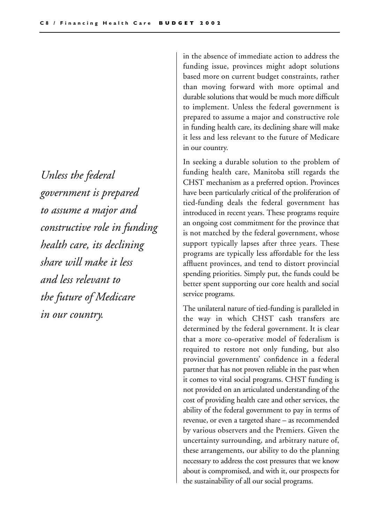*Unless the federal government is prepared to assume a major and constructive role in funding health care, its declining share will make it less and less relevant to the future of Medicare in our country.*

in the absence of immediate action to address the funding issue, provinces might adopt solutions based more on current budget constraints, rather than moving forward with more optimal and durable solutions that would be much more difficult to implement. Unless the federal government is prepared to assume a major and constructive role in funding health care, its declining share will make it less and less relevant to the future of Medicare in our country.

In seeking a durable solution to the problem of funding health care, Manitoba still regards the CHST mechanism as a preferred option. Provinces have been particularly critical of the proliferation of tied-funding deals the federal government has introduced in recent years. These programs require an ongoing cost commitment for the province that is not matched by the federal government, whose support typically lapses after three years. These programs are typically less affordable for the less affluent provinces, and tend to distort provincial spending priorities. Simply put, the funds could be better spent supporting our core health and social service programs.

The unilateral nature of tied-funding is paralleled in the way in which CHST cash transfers are determined by the federal government. It is clear that a more co-operative model of federalism is required to restore not only funding, but also provincial governments' confidence in a federal partner that has not proven reliable in the past when it comes to vital social programs. CHST funding is not provided on an articulated understanding of the cost of providing health care and other services, the ability of the federal government to pay in terms of revenue, or even a targeted share – as recommended by various observers and the Premiers. Given the uncertainty surrounding, and arbitrary nature of, these arrangements, our ability to do the planning necessary to address the cost pressures that we know about is compromised, and with it, our prospects for the sustainability of all our social programs.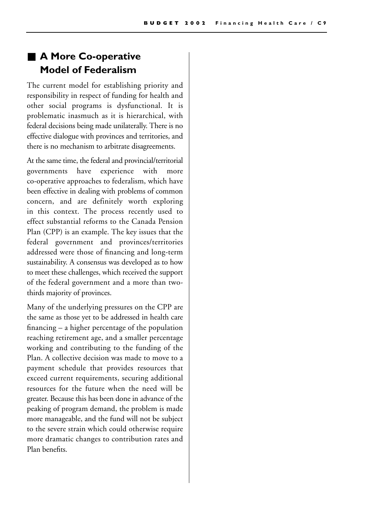## ■ **A More Co-operative Model of Federalism**

The current model for establishing priority and responsibility in respect of funding for health and other social programs is dysfunctional. It is problematic inasmuch as it is hierarchical, with federal decisions being made unilaterally. There is no effective dialogue with provinces and territories, and there is no mechanism to arbitrate disagreements.

At the same time, the federal and provincial/territorial governments have experience with more co-operative approaches to federalism, which have been effective in dealing with problems of common concern, and are definitely worth exploring in this context. The process recently used to effect substantial reforms to the Canada Pension Plan (CPP) is an example. The key issues that the federal government and provinces/territories addressed were those of financing and long-term sustainability. A consensus was developed as to how to meet these challenges, which received the support of the federal government and a more than twothirds majority of provinces.

Many of the underlying pressures on the CPP are the same as those yet to be addressed in health care financing – a higher percentage of the population reaching retirement age, and a smaller percentage working and contributing to the funding of the Plan. A collective decision was made to move to a payment schedule that provides resources that exceed current requirements, securing additional resources for the future when the need will be greater. Because this has been done in advance of the peaking of program demand, the problem is made more manageable, and the fund will not be subject to the severe strain which could otherwise require more dramatic changes to contribution rates and Plan benefits.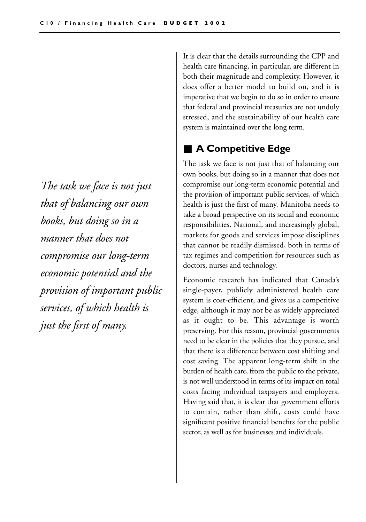*The task we face is not just that of balancing our own books, but doing so in a manner that does not compromise our long-term economic potential and the provision of important public services, of which health is just the first of many.*

It is clear that the details surrounding the CPP and health care financing, in particular, are different in both their magnitude and complexity. However, it does offer a better model to build on, and it is imperative that we begin to do so in order to ensure that federal and provincial treasuries are not unduly stressed, and the sustainability of our health care system is maintained over the long term.

### ■ **A Competitive Edge**

The task we face is not just that of balancing our own books, but doing so in a manner that does not compromise our long-term economic potential and the provision of important public services, of which health is just the first of many. Manitoba needs to take a broad perspective on its social and economic responsibilities. National, and increasingly global, markets for goods and services impose disciplines that cannot be readily dismissed, both in terms of tax regimes and competition for resources such as doctors, nurses and technology.

Economic research has indicated that Canada's single-payer, publicly administered health care system is cost-efficient, and gives us a competitive edge, although it may not be as widely appreciated as it ought to be. This advantage is worth preserving. For this reason, provincial governments need to be clear in the policies that they pursue, and that there is a difference between cost shifting and cost saving. The apparent long-term shift in the burden of health care, from the public to the private, is not well understood in terms of its impact on total costs facing individual taxpayers and employers. Having said that, it is clear that government efforts to contain, rather than shift, costs could have significant positive financial benefits for the public sector, as well as for businesses and individuals.